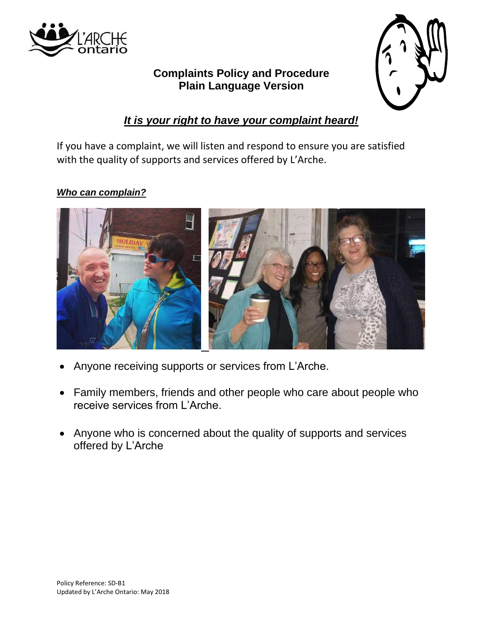

# **Complaints Policy and Procedure Plain Language Version**



## *It is your right to have your complaint heard!*

If you have a complaint, we will listen and respond to ensure you are satisfied with the quality of supports and services offered by L'Arche.

### *Who can complain?*



- Anyone receiving supports or services from L'Arche.
- Family members, friends and other people who care about people who receive services from L'Arche.
- Anyone who is concerned about the quality of supports and services offered by L'Arche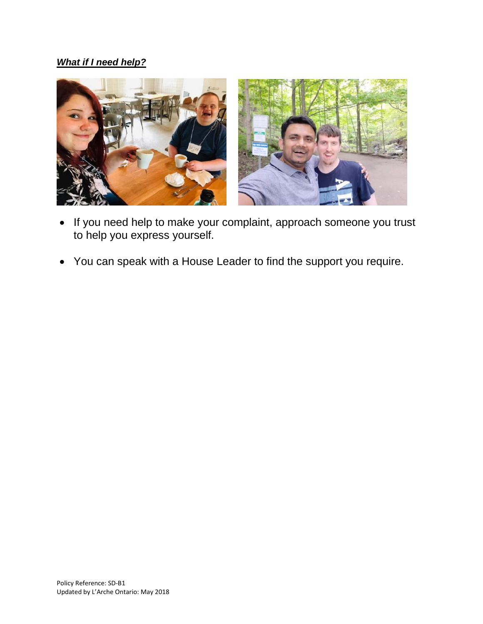## *What if I need help?*



- If you need help to make your complaint, approach someone you trust to help you express yourself.
- You can speak with a House Leader to find the support you require.